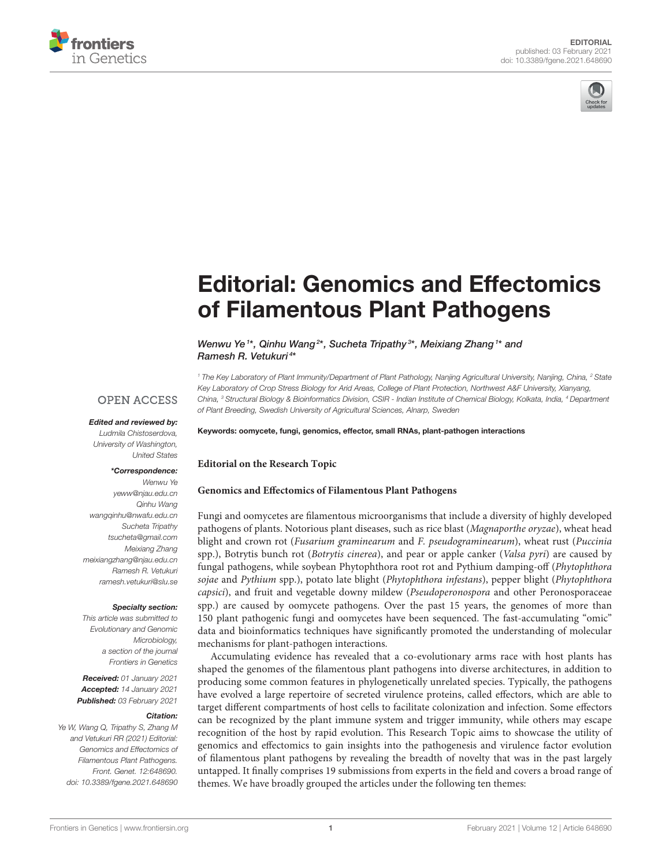



# [Editorial: Genomics and Effectomics](https://www.frontiersin.org/articles/10.3389/fgene.2021.648690/full) of Filamentous Plant Pathogens

#### Wenwu Ye<sup>1\*</sup>, Qinhu Wang<sup>2\*</sup>, Sucheta Tripathy<sup>3\*</sup>, Meixiang Zhang<sup>1\*</sup> and Ramesh R. Vetukuri <sup>4</sup> \*

*<sup>1</sup> The Key Laboratory of Plant Immunity/Department of Plant Pathology, Nanjing Agricultural University, Nanjing, China, <sup>2</sup> State Key Laboratory of Crop Stress Biology for Arid Areas, College of Plant Protection, Northwest A&F University, Xianyang, China, <sup>3</sup> Structural Biology & Bioinformatics Division, CSIR - Indian Institute of Chemical Biology, Kolkata, India, <sup>4</sup> Department of Plant Breeding, Swedish University of Agricultural Sciences, Alnarp, Sweden*

# **OPEN ACCESS**

#### Edited and reviewed by: *Ludmila Chistoserdova, University of Washington, United States*

#### \*Correspondence:

*Wenwu Ye [yeww@njau.edu.cn](mailto:yeww@njau.edu.cn) Qinhu Wang [wangqinhu@nwafu.edu.cn](mailto:wangqinhu@nwafu.edu.cn) Sucheta Tripathy [tsucheta@gmail.com](mailto:tsucheta@gmail.com) Meixiang Zhang [meixiangzhang@njau.edu.cn](mailto:meixiangzhang@njau.edu.cn) Ramesh R. Vetukuri [ramesh.vetukuri@slu.se](mailto:ramesh.vetukuri@slu.se)*

#### Specialty section:

*This article was submitted to Evolutionary and Genomic Microbiology, a section of the journal Frontiers in Genetics*

Received: *01 January 2021* Accepted: *14 January 2021* Published: *03 February 2021*

#### Citation:

*Ye W, Wang Q, Tripathy S, Zhang M and Vetukuri RR (2021) Editorial: Genomics and Effectomics of Filamentous Plant Pathogens. Front. Genet. 12:648690. doi: [10.3389/fgene.2021.648690](https://doi.org/10.3389/fgene.2021.648690)*

# Keywords: oomycete, fungi, genomics, effector, small RNAs, plant-pathogen interactions

#### **Editorial on the Research Topic**

#### **[Genomics and Effectomics of Filamentous Plant Pathogens](https://www.frontiersin.org/research-topics/11409/genomics-and-effectomics-of-filamentous-plant-pathogens)**

Fungi and oomycetes are filamentous microorganisms that include a diversity of highly developed pathogens of plants. Notorious plant diseases, such as rice blast (Magnaporthe oryzae), wheat head blight and crown rot (Fusarium graminearum and F. pseudograminearum), wheat rust (Puccinia spp.), Botrytis bunch rot (Botrytis cinerea), and pear or apple canker (Valsa pyri) are caused by fungal pathogens, while soybean Phytophthora root rot and Pythium damping-off (Phytophthora sojae and Pythium spp.), potato late blight (Phytophthora infestans), pepper blight (Phytophthora capsici), and fruit and vegetable downy mildew (Pseudoperonospora and other Peronosporaceae spp.) are caused by oomycete pathogens. Over the past 15 years, the genomes of more than 150 plant pathogenic fungi and oomycetes have been sequenced. The fast-accumulating "omic" data and bioinformatics techniques have significantly promoted the understanding of molecular mechanisms for plant-pathogen interactions.

Accumulating evidence has revealed that a co-evolutionary arms race with host plants has shaped the genomes of the filamentous plant pathogens into diverse architectures, in addition to producing some common features in phylogenetically unrelated species. Typically, the pathogens have evolved a large repertoire of secreted virulence proteins, called effectors, which are able to target different compartments of host cells to facilitate colonization and infection. Some effectors can be recognized by the plant immune system and trigger immunity, while others may escape recognition of the host by rapid evolution. This Research Topic aims to showcase the utility of genomics and effectomics to gain insights into the pathogenesis and virulence factor evolution of filamentous plant pathogens by revealing the breadth of novelty that was in the past largely untapped. It finally comprises 19 submissions from experts in the field and covers a broad range of themes. We have broadly grouped the articles under the following ten themes: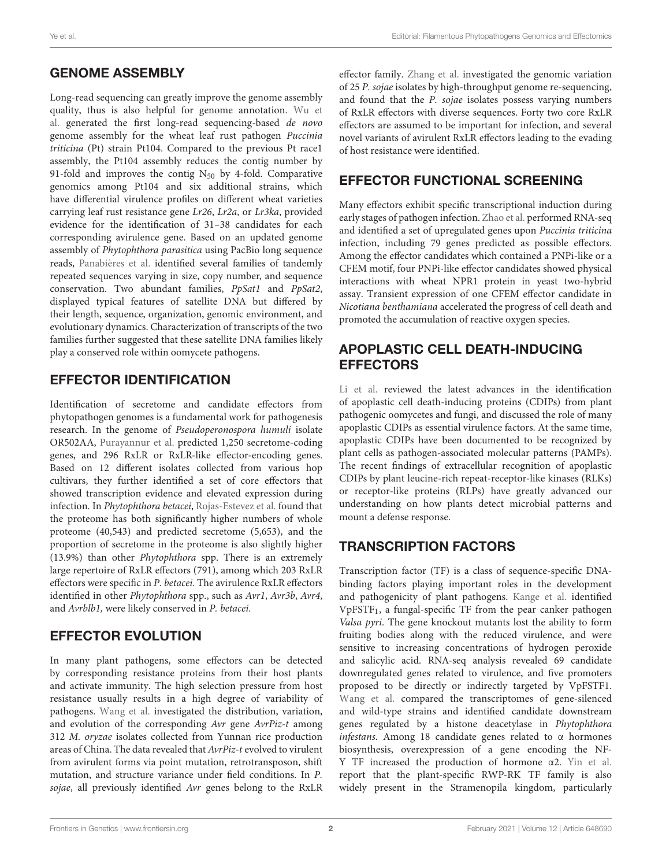### GENOME ASSEMBLY

Long-read sequencing can greatly improve the genome assembly [quality, thus is also helpful for genome annotation.](https://doi.org/10.3389/fgene.2020.00521) Wu et al. generated the first long-read sequencing-based de novo genome assembly for the wheat leaf rust pathogen Puccinia triticina (Pt) strain Pt104. Compared to the previous Pt race1 assembly, the Pt104 assembly reduces the contig number by 91-fold and improves the contig  $N_{50}$  by 4-fold. Comparative genomics among Pt104 and six additional strains, which have differential virulence profiles on different wheat varieties carrying leaf rust resistance gene Lr26, Lr2a, or Lr3ka, provided evidence for the identification of 31–38 candidates for each corresponding avirulence gene. Based on an updated genome assembly of Phytophthora parasitica using PacBio long sequence reads, [Panabières et al.](https://doi.org/10.3389/fgene.2020.00557) identified several families of tandemly repeated sequences varying in size, copy number, and sequence conservation. Two abundant families, PpSat1 and PpSat2, displayed typical features of satellite DNA but differed by their length, sequence, organization, genomic environment, and evolutionary dynamics. Characterization of transcripts of the two families further suggested that these satellite DNA families likely play a conserved role within oomycete pathogens.

### EFFECTOR IDENTIFICATION

Identification of secretome and candidate effectors from phytopathogen genomes is a fundamental work for pathogenesis research. In the genome of Pseudoperonospora humuli isolate OR502AA, [Purayannur et al.](https://doi.org/10.3389/fgene.2020.00910) predicted 1,250 secretome-coding genes, and 296 RxLR or RxLR-like effector-encoding genes. Based on 12 different isolates collected from various hop cultivars, they further identified a set of core effectors that showed transcription evidence and elevated expression during infection. In Phytophthora betacei, [Rojas-Estevez et al.](https://doi.org/10.3389/fgene.2020.00579) found that the proteome has both significantly higher numbers of whole proteome (40,543) and predicted secretome (5,653), and the proportion of secretome in the proteome is also slightly higher (13.9%) than other Phytophthora spp. There is an extremely large repertoire of RxLR effectors (791), among which 203 RxLR effectors were specific in P. betacei. The avirulence RxLR effectors identified in other Phytophthora spp., such as Avr1, Avr3b, Avr4, and Avrblb1, were likely conserved in P. betacei.

### EFFECTOR EVOLUTION

In many plant pathogens, some effectors can be detected by corresponding resistance proteins from their host plants and activate immunity. The high selection pressure from host resistance usually results in a high degree of variability of pathogens. [Wang et al.](https://doi.org/10.3389/fgene.2020.00746) investigated the distribution, variation, and evolution of the corresponding Avr gene AvrPiz-t among 312 M. oryzae isolates collected from Yunnan rice production areas of China. The data revealed that AvrPiz-t evolved to virulent from avirulent forms via point mutation, retrotransposon, shift mutation, and structure variance under field conditions. In P. sojae, all previously identified Avr genes belong to the RxLR effector family. [Zhang et al.](https://doi.org/10.3389/fmicb.2019.02792) investigated the genomic variation of 25 P. sojae isolates by high-throughput genome re-sequencing, and found that the P. sojae isolates possess varying numbers of RxLR effectors with diverse sequences. Forty two core RxLR effectors are assumed to be important for infection, and several novel variants of avirulent RxLR effectors leading to the evading of host resistance were identified.

#### EFFECTOR FUNCTIONAL SCREENING

Many effectors exhibit specific transcriptional induction during early stages of pathogen infection. [Zhao et al.](https://doi.org/10.3389/fmicb.2020.01188) performed RNA-seq and identified a set of upregulated genes upon Puccinia triticina infection, including 79 genes predicted as possible effectors. Among the effector candidates which contained a PNPi-like or a CFEM motif, four PNPi-like effector candidates showed physical interactions with wheat NPR1 protein in yeast two-hybrid assay. Transient expression of one CFEM effector candidate in Nicotiana benthamiana accelerated the progress of cell death and promoted the accumulation of reactive oxygen species.

### APOPLASTIC CELL DEATH-INDUCING **EFFECTORS**

[Li et al.](https://doi.org/10.3389/fgene.2020.00661) reviewed the latest advances in the identification of apoplastic cell death-inducing proteins (CDIPs) from plant pathogenic oomycetes and fungi, and discussed the role of many apoplastic CDIPs as essential virulence factors. At the same time, apoplastic CDIPs have been documented to be recognized by plant cells as pathogen-associated molecular patterns (PAMPs). The recent findings of extracellular recognition of apoplastic CDIPs by plant leucine-rich repeat-receptor-like kinases (RLKs) or receptor-like proteins (RLPs) have greatly advanced our understanding on how plants detect microbial patterns and mount a defense response.

### TRANSCRIPTION FACTORS

Transcription factor (TF) is a class of sequence-specific DNAbinding factors playing important roles in the development and pathogenicity of plant pathogens. [Kange et al.](https://doi.org/10.3389/fmicb.2019.02945) identified  $VpFSTF<sub>1</sub>$ , a fungal-specific TF from the pear canker pathogen Valsa pyri. The gene knockout mutants lost the ability to form fruiting bodies along with the reduced virulence, and were sensitive to increasing concentrations of hydrogen peroxide and salicylic acid. RNA-seq analysis revealed 69 candidate downregulated genes related to virulence, and five promoters proposed to be directly or indirectly targeted by VpFSTF1. [Wang et al.](https://doi.org/10.3389/fgene.2020.00508) compared the transcriptomes of gene-silenced and wild-type strains and identified candidate downstream genes regulated by a histone deacetylase in Phytophthora infestans. Among 18 candidate genes related to α hormones biosynthesis, overexpression of a gene encoding the NF-Y TF increased the production of hormone α2. [Yin et al.](https://doi.org/10.3389/fmicb.2020.01724) report that the plant-specific RWP-RK TF family is also widely present in the Stramenopila kingdom, particularly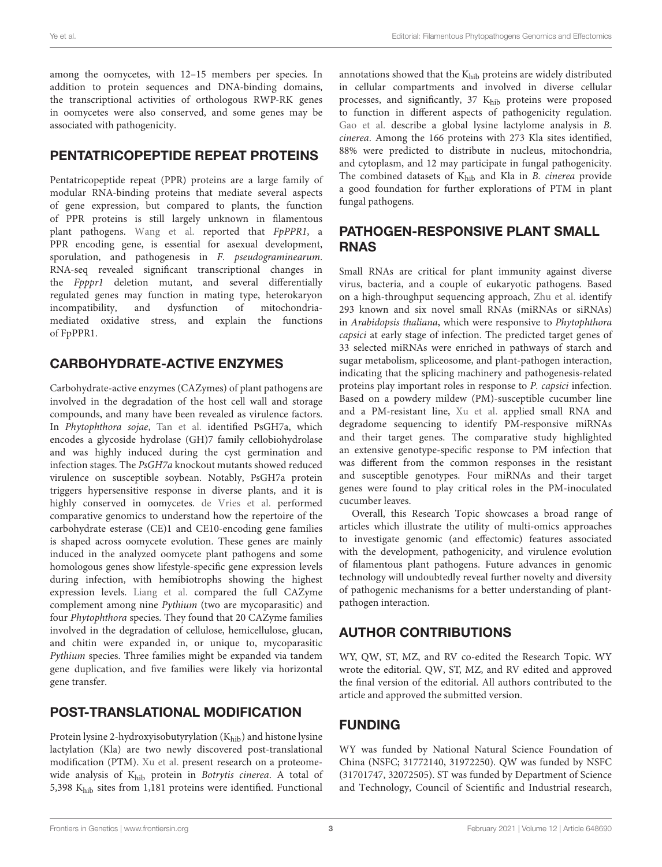among the oomycetes, with 12–15 members per species. In addition to protein sequences and DNA-binding domains, the transcriptional activities of orthologous RWP-RK genes in oomycetes were also conserved, and some genes may be associated with pathogenicity.

### PENTATRICOPEPTIDE REPEAT PROTEINS

Pentatricopeptide repeat (PPR) proteins are a large family of modular RNA-binding proteins that mediate several aspects of gene expression, but compared to plants, the function of PPR proteins is still largely unknown in filamentous plant pathogens. [Wang et al.](https://doi.org/10.3389/fgene.2020.535622) reported that FpPPR1, a PPR encoding gene, is essential for asexual development, sporulation, and pathogenesis in F. pseudograminearum. RNA-seq revealed significant transcriptional changes in the Fpppr1 deletion mutant, and several differentially regulated genes may function in mating type, heterokaryon incompatibility, and dysfunction of mitochondriamediated oxidative stress, and explain the functions of FpPPR1.

### CARBOHYDRATE-ACTIVE ENZYMES

Carbohydrate-active enzymes (CAZymes) of plant pathogens are involved in the degradation of the host cell wall and storage compounds, and many have been revealed as virulence factors. In Phytophthora sojae, [Tan et al.](https://doi.org/10.3389/fmicb.2020.01285) identified PsGH7a, which encodes a glycoside hydrolase (GH)7 family cellobiohydrolase and was highly induced during the cyst germination and infection stages. The PsGH7a knockout mutants showed reduced virulence on susceptible soybean. Notably, PsGH7a protein triggers hypersensitive response in diverse plants, and it is highly conserved in oomycetes. [de Vries et al.](https://doi.org/10.3389/fgene.2020.00756) performed comparative genomics to understand how the repertoire of the carbohydrate esterase (CE)1 and CE10-encoding gene families is shaped across oomycete evolution. These genes are mainly induced in the analyzed oomycete plant pathogens and some homologous genes show lifestyle-specific gene expression levels during infection, with hemibiotrophs showing the highest expression levels. [Liang et al.](https://doi.org/10.3389/fmicb.2020.581698) compared the full CAZyme complement among nine Pythium (two are mycoparasitic) and four Phytophthora species. They found that 20 CAZyme families involved in the degradation of cellulose, hemicellulose, glucan, and chitin were expanded in, or unique to, mycoparasitic Pythium species. Three families might be expanded via tandem gene duplication, and five families were likely via horizontal gene transfer.

### POST-TRANSLATIONAL MODIFICATION

Protein lysine 2-hydroxyisobutyrylation  $(K<sub>hib</sub>)$  and histone lysine lactylation (Kla) are two newly discovered post-translational modification (PTM). [Xu et al.](https://doi.org/10.3389/fmicb.2020.585614) present research on a proteomewide analysis of Khib protein in Botrytis cinerea. A total of 5,398 Khib sites from 1,181 proteins were identified. Functional

annotations showed that the Khib proteins are widely distributed in cellular compartments and involved in diverse cellular processes, and significantly, 37 Khib proteins were proposed to function in different aspects of pathogenicity regulation. [Gao et al.](https://doi.org/10.3389/fmicb.2020.594743) describe a global lysine lactylome analysis in B. cinerea. Among the 166 proteins with 273 Kla sites identified, 88% were predicted to distribute in nucleus, mitochondria, and cytoplasm, and 12 may participate in fungal pathogenicity. The combined datasets of  $K<sub>hib</sub>$  and Kla in B. cinerea provide a good foundation for further explorations of PTM in plant fungal pathogens.

#### PATHOGEN-RESPONSIVE PLANT SMALL RNAS

Small RNAs are critical for plant immunity against diverse virus, bacteria, and a couple of eukaryotic pathogens. Based on a high-throughput sequencing approach, [Zhu et al.](https://doi.org/10.3389/fmicb.2020.01094) identify 293 known and six novel small RNAs (miRNAs or siRNAs) in Arabidopsis thaliana, which were responsive to Phytophthora capsici at early stage of infection. The predicted target genes of 33 selected miRNAs were enriched in pathways of starch and sugar metabolism, spliceosome, and plant-pathogen interaction, indicating that the splicing machinery and pathogenesis-related proteins play important roles in response to P. capsici infection. Based on a powdery mildew (PM)-susceptible cucumber line and a PM-resistant line, [Xu et al.](https://doi.org/10.3389/fgene.2020.00246) applied small RNA and degradome sequencing to identify PM-responsive miRNAs and their target genes. The comparative study highlighted an extensive genotype-specific response to PM infection that was different from the common responses in the resistant and susceptible genotypes. Four miRNAs and their target genes were found to play critical roles in the PM-inoculated cucumber leaves.

Overall, this Research Topic showcases a broad range of articles which illustrate the utility of multi-omics approaches to investigate genomic (and effectomic) features associated with the development, pathogenicity, and virulence evolution of filamentous plant pathogens. Future advances in genomic technology will undoubtedly reveal further novelty and diversity of pathogenic mechanisms for a better understanding of plantpathogen interaction.

### AUTHOR CONTRIBUTIONS

WY, QW, ST, MZ, and RV co-edited the Research Topic. WY wrote the editorial. QW, ST, MZ, and RV edited and approved the final version of the editorial. All authors contributed to the article and approved the submitted version.

# FUNDING

WY was funded by National Natural Science Foundation of China (NSFC; 31772140, 31972250). QW was funded by NSFC (31701747, 32072505). ST was funded by Department of Science and Technology, Council of Scientific and Industrial research,